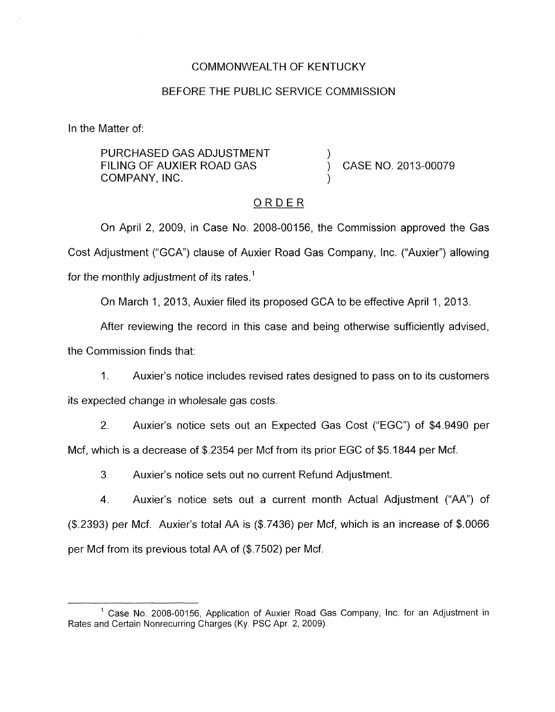#### COMMONWEALTH OF KENTUCKY

#### BEFORE THE PUBLIC SERVICE COMMISSION

In the Matter of:

PURCHASED GAS ADJUSTMENT COMPANY, INC. ) FILING OF AUXIER ROAD GAS  $\overrightarrow{)}$  CASE NO. 2013-00079

### ORDER

On April 2, 2009, in Case No. 2008-00156, the Commission approved the Gas Cost Adjustment ("GCA") clause of Auxier Road Gas Company, Inc. ("Auxier") allowing for the monthly adjustment of its rates.<sup>1</sup>

On March 1, 2013, Auxier filed its proposed GCA to be effective April 1, 2013.

After reviewing the record in this case and being otherwise sufficiently advised,

the Commission finds that:

1. Auxier's notice includes revised rates designed to pass on to its customers *its* expected change in wholesale gas costs.

2. Auxier's notice sets out an Expected Gas Cost ("EGC") of \$4.9490 per Mcf, which is a decrease of \$.2354 per Mcf from its prior EGC of \$5.1844 per Mcf.

3. Auxier's notice sets out no current Refund Adjustment.

4. Auxier's notice sets out a current month Actual Adjustment ("AA'') of  $($ \$.2393) per Mcf. Auxier's total AA is  $($ \$.7436) per Mcf, which is an increase of \$.0066 per Mcf from its previous total AA of (\$.7502) per Mcf.

<sup>&</sup>lt;sup>1</sup> Case No. 2008-00156, Application of Auxier Road Gas Company, Inc. for an Adjustment in Rates and Certain Nonrecurring Charges (Ky. PSC Apr. 2, 2009).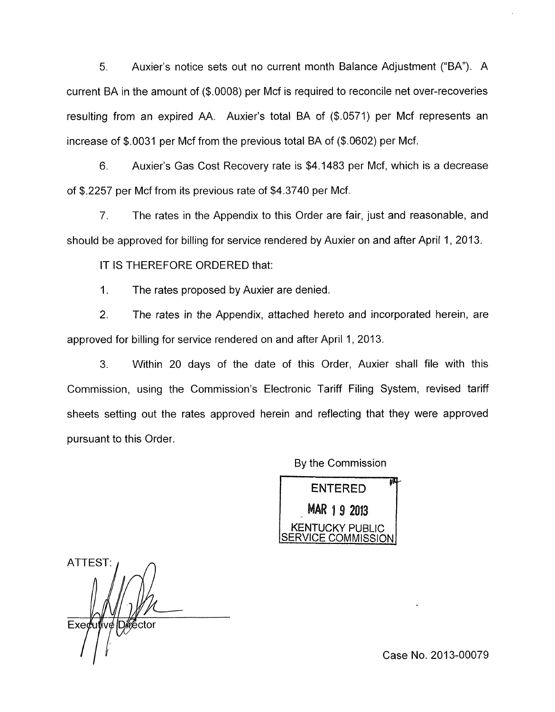*5.* Auxier's notice sets out no current month Balance Adjustment ("BA"). A current BA in the amount of (\$.0008) per Mcf is required to reconcile net over-recoveries resulting from an expired AA. Auxier's total BA of (\$.0571) per Mcf represents an increase of \$.0031 per Mcf from the previous total BA of (\$.0602) per Mcf.

6" Auxier's Gas Cost Recovery rate is \$4.1483 per Mcf, which is a decrease of \$.2257 per Mcf from its previous rate of \$4.3740 per Mcf.

7. The rates in the Appendix to this Order are fair, just and reasonable, and should be approved for billing for service rendered by Auxier on and after April 1, 2013.

IT IS THEREFORE ORDERED that:

1. The rates proposed by Auxier are denied.

2. The rates in the Appendix, attached hereto and incorporated herein, are approved for billing for service rendered on and after April 1, 2013.

3. Within 20 days of the date of this Order, Auxier shall file with this Commission, using the Commission's Electronic Tariff Filing System, revised tariff sheets setting out the rates approved herein and reflecting that they were approved pursuant to this Order.

By the Commission

**ENTERED** MAR 1 9 2013<br>I KENTUCKY PUBLIC **RVICE COMMISSION** 

**ATTEST** Exedu *I* 

Case No. 2013-00079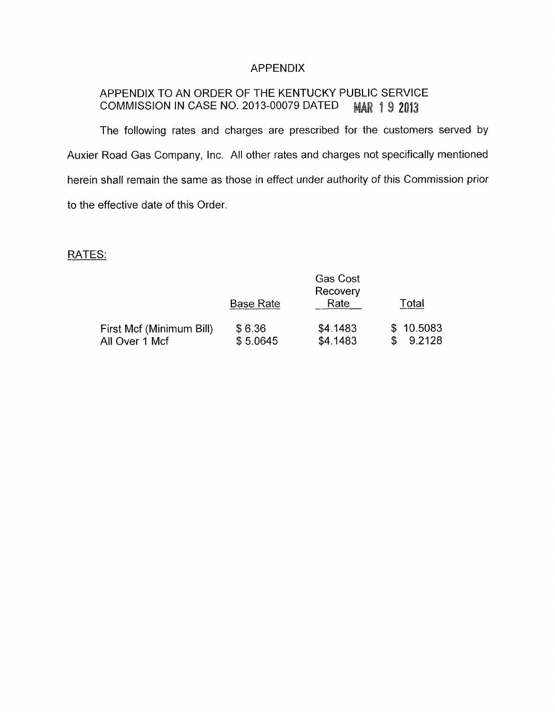## APPENDIX

#### APPENDIX TO AN ORDER OF THE KENTUCKY PUBLIC SERVICE COMMISSION IN CASE NO. 2013-00079 DATED **MAR 19 2013**

The following rates and charges are prescribed for the customers served by Auxier Road Gas Company, lnc. All other rates and charges not specifically mentioned herein shall remain the same as those in effect under authority of this Commission prior to the effective date of this Order.

# RATES:

|                          |                  | <b>Gas Cost</b><br>Recovery |                     |
|--------------------------|------------------|-----------------------------|---------------------|
|                          | <b>Base Rate</b> | Rate                        | Total               |
| First Mcf (Minimum Bill) | \$6.36           | \$4.1483                    | \$10.5083<br>9.2128 |
| All Over 1 Mcf           | \$5.0645         | \$4.1483                    |                     |